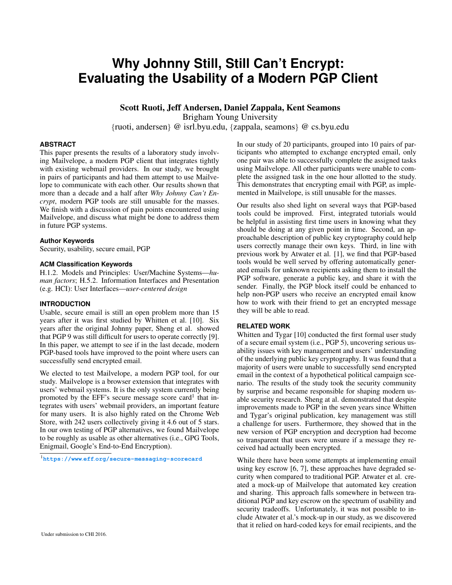# **Why Johnny Still, Still Can't Encrypt: Evaluating the Usability of a Modern PGP Client**

Scott Ruoti, Jeff Andersen, Daniel Zappala, Kent Seamons

Brigham Young University

{ruoti, andersen} @ isrl.byu.edu, {zappala, seamons} @ cs.byu.edu

# **ABSTRACT**

This paper presents the results of a laboratory study involving Mailvelope, a modern PGP client that integrates tightly with existing webmail providers. In our study, we brought in pairs of participants and had them attempt to use Mailvelope to communicate with each other. Our results shown that more than a decade and a half after *Why Johnny Can't Encrypt*, modern PGP tools are still unusable for the masses. We finish with a discussion of pain points encountered using Mailvelope, and discuss what might be done to address them in future PGP systems.

# **Author Keywords**

Security, usability, secure email, PGP

# **ACM Classification Keywords**

H.1.2. Models and Principles: User/Machine Systems—*human factors*; H.5.2. Information Interfaces and Presentation (e.g. HCI): User Interfaces—*user-centered design*

# **INTRODUCTION**

Usable, secure email is still an open problem more than 15 years after it was first studied by Whitten et al. [\[10\]](#page-4-0). Six years after the original Johnny paper, Sheng et al. showed that PGP 9 was still difficult for users to operate correctly [\[9\]](#page-4-1). In this paper, we attempt to see if in the last decade, modern PGP-based tools have improved to the point where users can successfully send encrypted email.

We elected to test Mailvelope, a modern PGP tool, for our study. Mailvelope is a browser extension that integrates with users' webmail systems. It is the only system currently being promoted by the EFF's secure message score card<sup>[1](#page-0-0)</sup> that integrates with users' webmail providers, an important feature for many users. It is also highly rated on the Chrome Web Store, with 242 users collectively giving it 4.6 out of 5 stars. In our own testing of PGP alternatives, we found Mailvelope to be roughly as usable as other alternatives (i.e., GPG Tools, Enigmail, Google's End-to-End Encryption).

<span id="page-0-0"></span><sup>1</sup>**https://www**.**eff**.**[org/secure-messaging-scorecard](https://www.eff.org/secure-messaging-scorecard)**

In our study of 20 participants, grouped into 10 pairs of participants who attempted to exchange encrypted email, only one pair was able to successfully complete the assigned tasks using Mailvelope. All other participants were unable to complete the assigned task in the one hour allotted to the study. This demonstrates that encrypting email with PGP, as implemented in Mailvelope, is still unusable for the masses.

Our results also shed light on several ways that PGP-based tools could be improved. First, integrated tutorials would be helpful in assisting first time users in knowing what they should be doing at any given point in time. Second, an approachable description of public key cryptography could help users correctly manage their own keys. Third, in line with previous work by Atwater et al. [\[1\]](#page-4-2), we find that PGP-based tools would be well served by offering automatically generated emails for unknown recipients asking them to install the PGP software, generate a public key, and share it with the sender. Finally, the PGP block itself could be enhanced to help non-PGP users who receive an encrypted email know how to work with their friend to get an encrypted message they will be able to read.

# **RELATED WORK**

Whitten and Tygar [\[10\]](#page-4-0) conducted the first formal user study of a secure email system (i.e., PGP 5), uncovering serious usability issues with key management and users' understanding of the underlying public key cryptography. It was found that a majority of users were unable to successfully send encrypted email in the context of a hypothetical political campaign scenario. The results of the study took the security community by surprise and became responsible for shaping modern usable security research. Sheng at al. demonstrated that despite improvements made to PGP in the seven years since Whitten and Tygar's original publication, key management was still a challenge for users. Furthermore, they showed that in the new version of PGP encryption and decryption had become so transparent that users were unsure if a message they received had actually been encrypted.

While there have been some attempts at implementing email using key escrow [\[6,](#page-4-3) [7\]](#page-4-4), these approaches have degraded security when compared to traditional PGP. Atwater et al. created a mock-up of Mailvelope that automated key creation and sharing. This approach falls somewhere in between traditional PGP and key escrow on the spectrum of usability and security tradeoffs. Unfortunately, it was not possible to include Atwater et al.'s mock-up in our study, as we discovered that it relied on hard-coded keys for email recipients, and the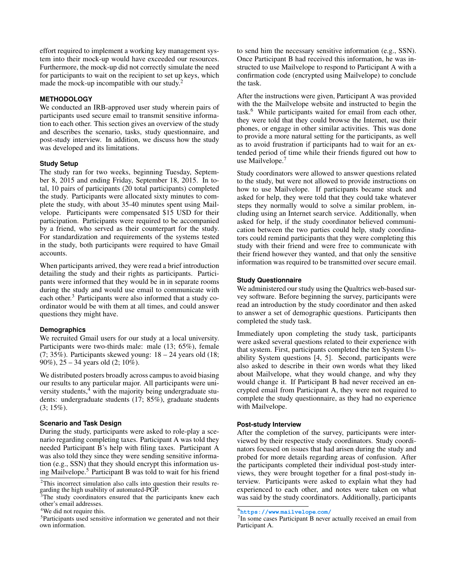effort required to implement a working key management system into their mock-up would have exceeded our resources. Furthermore, the mock-up did not correctly simulate the need for participants to wait on the recipient to set up keys, which made the mock-up incompatible with our study.<sup>[2](#page-1-0)</sup>

### **METHODOLOGY**

We conducted an IRB-approved user study wherein pairs of participants used secure email to transmit sensitive information to each other. This section gives an overview of the study and describes the scenario, tasks, study questionnaire, and post-study interview. In addition, we discuss how the study was developed and its limitations.

#### **Study Setup**

The study ran for two weeks, beginning Tuesday, September 8, 2015 and ending Friday, September 18, 2015. In total, 10 pairs of participants (20 total participants) completed the study. Participants were allocated sixty minutes to complete the study, with about 35-40 minutes spent using Mailvelope. Participants were compensated \$15 USD for their participation. Participants were required to be accompanied by a friend, who served as their counterpart for the study. For standardization and requirements of the systems tested in the study, both participants were required to have Gmail accounts.

When participants arrived, they were read a brief introduction detailing the study and their rights as participants. Participants were informed that they would be in in separate rooms during the study and would use email to communicate with each other. $3$  Participants were also informed that a study coordinator would be with them at all times, and could answer questions they might have.

## **Demographics**

We recruited Gmail users for our study at a local university. Participants were two-thirds male: male (13; 65%), female  $(7; 35\%)$ . Participants skewed young:  $18 - 24$  years old  $(18;$ 90%), 25 – 34 years old (2; 10%).

We distributed posters broadly across campus to avoid biasing our results to any particular major. All participants were uni-versity students,<sup>[4](#page-1-2)</sup> with the majority being undergraduate students: undergraduate students (17; 85%), graduate students  $(3; 15\%).$ 

# **Scenario and Task Design**

During the study, participants were asked to role-play a scenario regarding completing taxes. Participant A was told they needed Participant B's help with filing taxes. Participant A was also told they since they were sending sensitive information (e.g., SSN) that they should encrypt this information using Mailvelope.[5](#page-1-3) Participant B was told to wait for his friend to send him the necessary sensitive information (e.g., SSN). Once Participant B had received this information, he was instructed to use Mailvelope to respond to Participant A with a confirmation code (encrypted using Mailvelope) to conclude the task.

After the instructions were given, Participant A was provided with the the Mailvelope website and instructed to begin the task.[6](#page-1-4) While participants waited for email from each other, they were told that they could browse the Internet, use their phones, or engage in other similar activities. This was done to provide a more natural setting for the participants, as well as to avoid frustration if participants had to wait for an extended period of time while their friends figured out how to use Mailvelope.<sup>[7](#page-1-5)</sup>

Study coordinators were allowed to answer questions related to the study, but were not allowed to provide instructions on how to use Mailvelope. If participants became stuck and asked for help, they were told that they could take whatever steps they normally would to solve a similar problem, including using an Internet search service. Additionally, when asked for help, if the study coordinator believed communication between the two parties could help, study coordinators could remind participants that they were completing this study with their friend and were free to communicate with their friend however they wanted, and that only the sensitive information was required to be transmitted over secure email.

# **Study Questionnaire**

We administered our study using the Qualtrics web-based survey software. Before beginning the survey, participants were read an introduction by the study coordinator and then asked to answer a set of demographic questions. Participants then completed the study task.

Immediately upon completing the study task, participants were asked several questions related to their experience with that system. First, participants completed the ten System Usability System questions [\[4,](#page-4-5) [5\]](#page-4-6). Second, participants were also asked to describe in their own words what they liked about Mailvelope, what they would change, and why they would change it. If Participant B had never received an encrypted email from Participant A, they were not required to complete the study questionnaire, as they had no experience with Mailvelope.

# **Post-study Interview**

After the completion of the survey, participants were interviewed by their respective study coordinators. Study coordinators focused on issues that had arisen during the study and probed for more details regarding areas of confusion. After the participants completed their individual post-study interviews, they were brought together for a final post-study interview. Participants were asked to explain what they had experienced to each other, and notes were taken on what was said by the study coordinators. Additionally, participants

<span id="page-1-0"></span><sup>&</sup>lt;sup>2</sup>This incorrect simulation also calls into question their results regarding the high usability of automated-PGP.

<span id="page-1-1"></span><sup>&</sup>lt;sup>3</sup>The study coordinators ensured that the participants knew each other's email addresses.

<span id="page-1-2"></span><sup>&</sup>lt;sup>4</sup>We did not require this.

<span id="page-1-3"></span><sup>5</sup>Participants used sensitive information we generated and not their own information.

<span id="page-1-4"></span><sup>6</sup>**[https://www](https://www.mailvelope.com/)**.**mailvelope**.**com/**

<span id="page-1-5"></span><sup>&</sup>lt;sup>7</sup>In some cases Participant B never actually received an email from Participant A.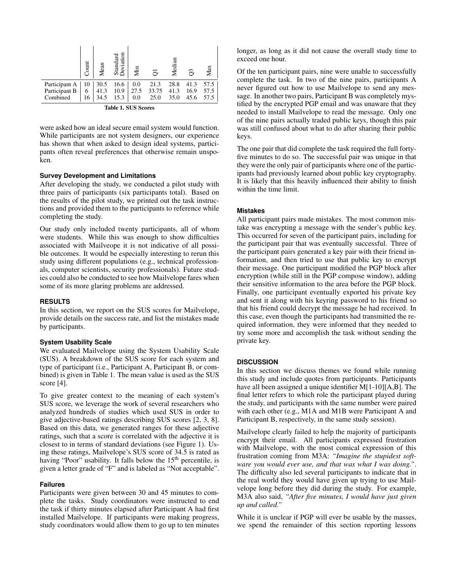|                    | ount | Mean | 등<br>Standar<br>Deviatic | Мin  | $\tilde{\phantom{1}}$ | Median | S    | Max  |
|--------------------|------|------|--------------------------|------|-----------------------|--------|------|------|
| Participant A      | 10   | 30.5 | 16.6                     | 0.0  | 21.3                  | 28.8   | 41.3 | 57.5 |
| Participant B      | 6    | 41.3 | 10.9                     | 27.5 | 33.75                 | 41.3   | 16.9 | 57.5 |
| Combined           | 16   | 34.5 | 15.3                     | 0.0  | 25.0                  | 35.0   | 45.6 | 57.5 |
| Table 1 CHC Corner |      |      |                          |      |                       |        |      |      |

<span id="page-2-0"></span>

|  |  |  | <b>Table 1. SUS Scores</b> |
|--|--|--|----------------------------|
|--|--|--|----------------------------|

were asked how an ideal secure email system would function. While participants are not system designers, our experience has shown that when asked to design ideal systems, participants often reveal preferences that otherwise remain unspoken.

#### **Survey Development and Limitations**

After developing the study, we conducted a pilot study with three pairs of participants (six participants total). Based on the results of the pilot study, we printed out the task instructions and provided them to the participants to reference while completing the study.

Our study only included twenty participants, all of whom were students. While this was enough to show difficulties associated with Mailveope it is not indicative of all possible outcomes. It would be especially interesting to rerun this study using different populations (e.g., technical professionals, computer scientists, security professionals). Future studies could also be conducted to see how Mailvelope fares when some of its more glaring problems are addressed.

#### **RESULTS**

In this section, we report on the SUS scores for Mailvelope, provide details on the success rate, and list the mistakes made by participants.

#### **System Usability Scale**

We evaluated Mailvelope using the System Usability Scale (SUS). A breakdown of the SUS score for each system and type of participant (i.e., Participant A, Participant B, or combined) is given in Table [1.](#page-2-0) The mean value is used as the SUS score [\[4\]](#page-4-5).

To give greater context to the meaning of each system's SUS score, we leverage the work of several researchers who analyzed hundreds of studies which used SUS in order to give adjective-based ratings describing SUS scores [\[2,](#page-4-7) [3,](#page-4-8) [8\]](#page-4-9). Based on this data, we generated ranges for these adjective ratings, such that a score is correlated with the adjective it is closest to in terms of standard deviations (see Figure [1\)](#page-3-0). Using these ratings, Mailvelope's SUS score of 34.5 is rated as having "Poor" usability. It falls below the 15<sup>th</sup> percentile, is given a letter grade of "F" and is labeled as "Not acceptable".

#### **Failures**

Participants were given between 30 and 45 minutes to complete the tasks. Study coordinators were instructed to end the task if thirty minutes elapsed after Participant A had first installed Mailvelope. If participants were making progress, study coordinators would allow them to go up to ten minutes

longer, as long as it did not cause the overall study time to exceed one hour.

Of the ten participant pairs, nine were unable to successfully complete the task. In two of the nine pairs, participants A never figured out how to use Mailvelope to send any message. In another two pairs, Participant B was completely mystified by the encrypted PGP email and was unaware that they needed to install Mailvelope to read the message. Only one of the nine pairs actually traded public keys, though this pair was still confused about what to do after sharing their public keys.

The one pair that did complete the task required the full fortyfive minutes to do so. The successful pair was unique in that they were the only pair of participants where one of the participants had previously learned about public key cryptography. It is likely that this heavily influenced their ability to finish within the time limit.

#### **Mistakes**

All participant pairs made mistakes. The most common mistake was encrypting a message with the sender's public key. This occurred for seven of the participant pairs, including for the participant pair that was eventually successful. Three of the participant pairs generated a key pair with their friend information, and then tried to use that public key to encrypt their message. One participant modified the PGP block after encryption (while still in the PGP compose window), adding their sensitive information to the area before the PGP block. Finally, one participant eventually exported his private key and sent it along with his keyring password to his friend so that his friend could decrypt the message he had received. In this case, even though the participants had transmitted the required information, they were informed that they needed to try some more and accomplish the task without sending the private key.

#### **DISCUSSION**

In this section we discuss themes we found while running this study and include quotes from participants. Participants have all been assigned a unique identifier M[1-10][A,B]. The final letter refers to which role the participant played during the study, and participants with the same number were paired with each other (e.g., M1A and M1B were Participant A and Participant B, respectively, in the same study session).

Mailvelope clearly failed to help the majority of participants encrypt their email. All participants expressed frustration with Mailvelope, with the most comical expression of this frustration coming from M3A: *"Imagine the stupidest software you would ever use, and that was what I was doing."*. The difficulty also led several participants to indicate that in the real world they would have given up trying to use Mailvelope long before they did during the study. For example, M3A also said, *"After five minutes, I would have just given up and called."*

While it is unclear if PGP will ever be usable by the masses, we spend the remainder of this section reporting lessons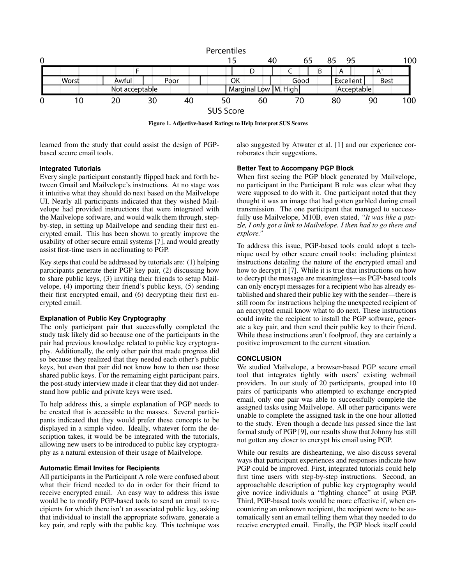

<span id="page-3-0"></span>Figure 1. Adjective-based Ratings to Help Interpret SUS Scores

learned from the study that could assist the design of PGPbased secure email tools.

also suggested by Atwater et al. [\[1\]](#page-4-2) and our experience corroborates their suggestions.

# **Integrated Tutorials**

Every single participant constantly flipped back and forth between Gmail and Mailvelope's instructions. At no stage was it intuitive what they should do next based on the Mailvelope UI. Nearly all participants indicated that they wished Mailvelope had provided instructions that were integrated with the Mailvelope software, and would walk them through, stepby-step, in setting up Mailvelope and sending their first encrypted email. This has been shown to greatly improve the usability of other secure email systems [\[7\]](#page-4-4), and would greatly assist first-time users in acclimating to PGP.

Key steps that could be addressed by tutorials are: (1) helping participants generate their PGP key pair, (2) discussing how to share public keys, (3) inviting their friends to setup Mailvelope, (4) importing their friend's public keys, (5) sending their first encrypted email, and (6) decrypting their first encrypted email.

# **Explanation of Public Key Cryptography**

The only participant pair that successfully completed the study task likely did so because one of the participants in the pair had previous knowledge related to public key cryptography. Additionally, the only other pair that made progress did so because they realized that they needed each other's public keys, but even that pair did not know how to then use those shared public keys. For the remaining eight participant pairs, the post-study interview made it clear that they did not understand how public and private keys were used.

To help address this, a simple explanation of PGP needs to be created that is accessible to the masses. Several participants indicated that they would prefer these concepts to be displayed in a simple video. Ideally, whatever form the description takes, it would be be integrated with the tutorials, allowing new users to be introduced to public key cryptography as a natural extension of their usage of Mailvelope.

# **Automatic Email Invites for Recipients**

All participants in the Participant A role were confused about what their friend needed to do in order for their friend to receive encrypted email. An easy way to address this issue would be to modify PGP-based tools to send an email to recipients for which there isn't an associated public key, asking that individual to install the appropriate software, generate a key pair, and reply with the public key. This technique was

# **Better Text to Accompany PGP Block**

When first seeing the PGP block generated by Mailvelope, no participant in the Participant B role was clear what they were supposed to do with it. One participant noted that they thought it was an image that had gotten garbled during email transmission. The one participant that managed to successfully use Mailvelope, M10B, even stated, *"It was like a puzzle, I only got a link to Mailvelope. I then had to go there and explore."*

To address this issue, PGP-based tools could adopt a technique used by other secure email tools: including plaintext instructions detailing the nature of the encrypted email and how to decrypt it [\[7\]](#page-4-4). While it is true that instructions on how to decrypt the message are meaningless—as PGP-based tools can only encrypt messages for a recipient who has already established and shared their public key with the sender—there is still room for instructions helping the unexpected recipient of an encrypted email know what to do next. These instructions could invite the recipient to install the PGP software, generate a key pair, and then send their public key to their friend. While these instructions aren't foolproof, they are certainly a positive improvement to the current situation.

# **CONCLUSION**

We studied Mailvelope, a browser-based PGP secure email tool that integrates tightly with users' existing webmail providers. In our study of 20 participants, grouped into 10 pairs of participants who attempted to exchange encrypted email, only one pair was able to successfully complete the assigned tasks using Mailvelope. All other participants were unable to complete the assigned task in the one hour allotted to the study. Even though a decade has passed since the last formal study of PGP [\[9\]](#page-4-1), our results show that Johnny has still not gotten any closer to encrypt his email using PGP.

While our results are disheartening, we also discuss several ways that participant experiences and responses indicate how PGP could be improved. First, integrated tutorials could help first time users with step-by-step instructions. Second, an approachable description of public key cryptography would give novice individuals a "fighting chance" at using PGP. Third, PGP-based tools would be more effective if, when encountering an unknown recipient, the recipient were to be automatically sent an email telling them what they needed to do receive encrypted email. Finally, the PGP block itself could